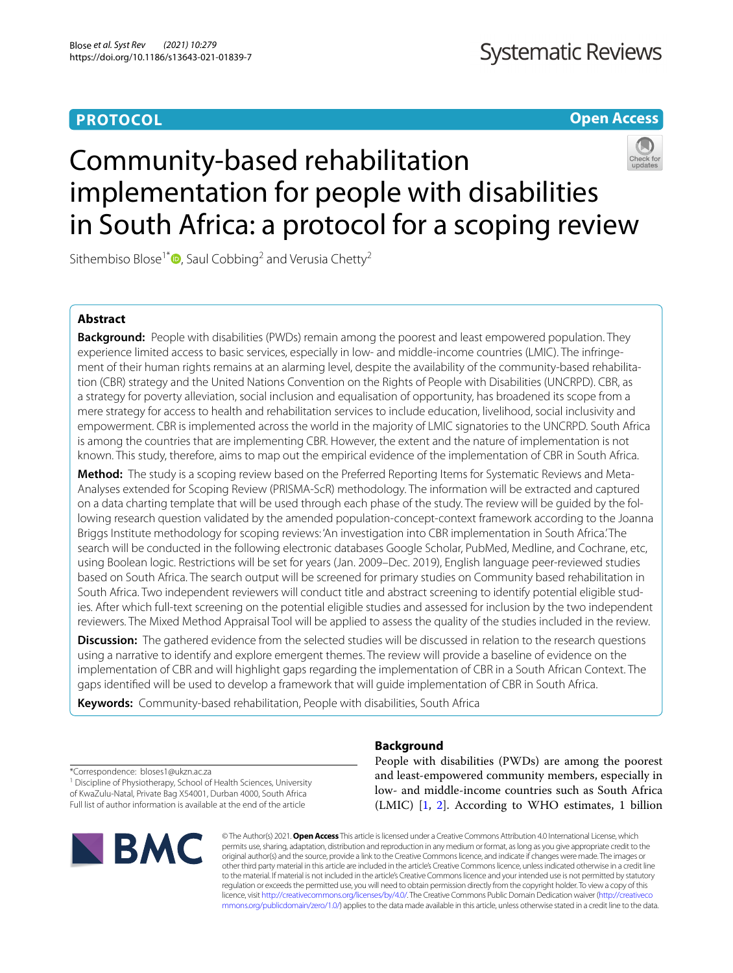# **PROTOCOL**

**Open Access**

# Community-based rehabilitation implementation for people with disabilities in South Africa: a protocol for a scoping review

Sithembiso Blose<sup>1\*</sup>  $\bullet$ [,](http://orcid.org/0000-0002-5200-8114) Saul Cobbing<sup>2</sup> and Verusia Chetty<sup>2</sup>

# **Abstract**

**Background:** People with disabilities (PWDs) remain among the poorest and least empowered population. They experience limited access to basic services, especially in low- and middle-income countries (LMIC). The infringement of their human rights remains at an alarming level, despite the availability of the community-based rehabilitation (CBR) strategy and the United Nations Convention on the Rights of People with Disabilities (UNCRPD). CBR, as a strategy for poverty alleviation, social inclusion and equalisation of opportunity, has broadened its scope from a mere strategy for access to health and rehabilitation services to include education, livelihood, social inclusivity and empowerment. CBR is implemented across the world in the majority of LMIC signatories to the UNCRPD. South Africa is among the countries that are implementing CBR. However, the extent and the nature of implementation is not known. This study, therefore, aims to map out the empirical evidence of the implementation of CBR in South Africa.

**Method:** The study is a scoping review based on the Preferred Reporting Items for Systematic Reviews and Meta-Analyses extended for Scoping Review (PRISMA-ScR) methodology. The information will be extracted and captured on a data charting template that will be used through each phase of the study. The review will be guided by the following research question validated by the amended population-concept-context framework according to the Joanna Briggs Institute methodology for scoping reviews: 'An investigation into CBR implementation in South Africa.' The search will be conducted in the following electronic databases Google Scholar, PubMed, Medline, and Cochrane, etc, using Boolean logic. Restrictions will be set for years (Jan. 2009–Dec. 2019), English language peer-reviewed studies based on South Africa. The search output will be screened for primary studies on Community based rehabilitation in South Africa. Two independent reviewers will conduct title and abstract screening to identify potential eligible studies. After which full-text screening on the potential eligible studies and assessed for inclusion by the two independent reviewers. The Mixed Method Appraisal Tool will be applied to assess the quality of the studies included in the review.

**Discussion:** The gathered evidence from the selected studies will be discussed in relation to the research questions using a narrative to identify and explore emergent themes. The review will provide a baseline of evidence on the implementation of CBR and will highlight gaps regarding the implementation of CBR in a South African Context. The gaps identifed will be used to develop a framework that will guide implementation of CBR in South Africa.

**Keywords:** Community-based rehabilitation, People with disabilities, South Africa

\*Correspondence: bloses1@ukzn.ac.za <sup>1</sup> Discipline of Physiotherapy, School of Health Sciences, University of KwaZulu-Natal, Private Bag X54001, Durban 4000, South Africa Full list of author information is available at the end of the article

**BMC** 

# **Background**

People with disabilities (PWDs) are among the poorest and least-empowered community members, especially in low- and middle-income countries such as South Africa (LMIC) [[1](#page-4-0), [2\]](#page-4-1). According to WHO estimates, 1 billion

© The Author(s) 2021. **Open Access** This article is licensed under a Creative Commons Attribution 4.0 International License, which permits use, sharing, adaptation, distribution and reproduction in any medium or format, as long as you give appropriate credit to the original author(s) and the source, provide a link to the Creative Commons licence, and indicate if changes were made. The images or other third party material in this article are included in the article's Creative Commons licence, unless indicated otherwise in a credit line to the material. If material is not included in the article's Creative Commons licence and your intended use is not permitted by statutory regulation or exceeds the permitted use, you will need to obtain permission directly from the copyright holder. To view a copy of this licence, visit [http://creativecommons.org/licenses/by/4.0/.](http://creativecommons.org/licenses/by/4.0/) The Creative Commons Public Domain Dedication waiver ([http://creativeco](http://creativecommons.org/publicdomain/zero/1.0/) [mmons.org/publicdomain/zero/1.0/](http://creativecommons.org/publicdomain/zero/1.0/)) applies to the data made available in this article, unless otherwise stated in a credit line to the data.

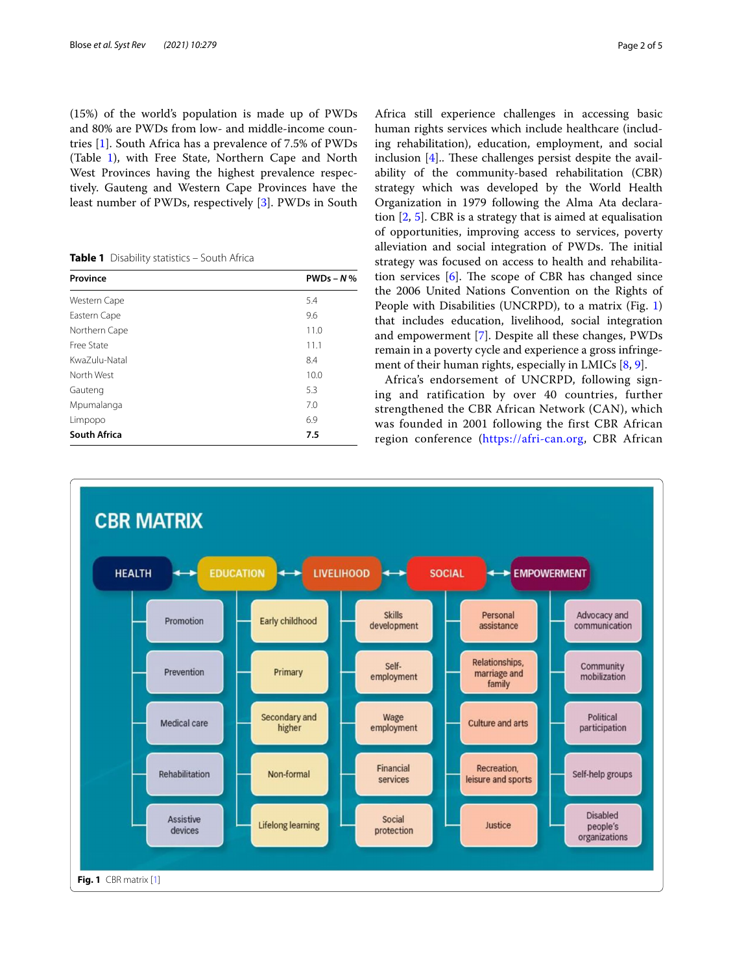(15%) of the world's population is made up of PWDs and 80% are PWDs from low- and middle-income countries [[1\]](#page-4-0). South Africa has a prevalence of 7.5% of PWDs (Table [1](#page-1-0)), with Free State, Northern Cape and North West Provinces having the highest prevalence respectively. Gauteng and Western Cape Provinces have the least number of PWDs, respectively [[3\]](#page-4-2). PWDs in South

<span id="page-1-0"></span>**Table 1** Disability statistics – South Africa

| Province            | $PWDs - N$ % |  |
|---------------------|--------------|--|
| Western Cape        | 5.4          |  |
| Eastern Cape        | 9.6          |  |
| Northern Cape       | 11.0         |  |
| Free State          | 11.1         |  |
| KwaZulu-Natal       | 8.4          |  |
| North West          | 10.0         |  |
| Gauteng             | 5.3          |  |
| Mpumalanga          | 7.0          |  |
| Limpopo             | 6.9          |  |
| <b>South Africa</b> | 7.5          |  |

Africa still experience challenges in accessing basic human rights services which include healthcare (including rehabilitation), education, employment, and social inclusion  $[4]$  $[4]$ .. These challenges persist despite the availability of the community-based rehabilitation (CBR) strategy which was developed by the World Health Organization in 1979 following the Alma Ata declaration [\[2](#page-4-1), [5\]](#page-4-4). CBR is a strategy that is aimed at equalisation of opportunities, improving access to services, poverty alleviation and social integration of PWDs. The initial strategy was focused on access to health and rehabilitation services  $[6]$ . The scope of CBR has changed since the 2006 United Nations Convention on the Rights of People with Disabilities (UNCRPD), to a matrix (Fig. [1](#page-1-1)) that includes education, livelihood, social integration and empowerment [[7\]](#page-4-6). Despite all these changes, PWDs remain in a poverty cycle and experience a gross infringe-ment of their human rights, especially in LMICs [\[8](#page-4-7), [9\]](#page-4-8).

Africa's endorsement of UNCRPD, following signing and ratification by over 40 countries, further strengthened the CBR African Network (CAN), which was founded in 2001 following the first CBR African region conference [\(https://afri-can.org,](https://afri-can.org) CBR African

<span id="page-1-1"></span>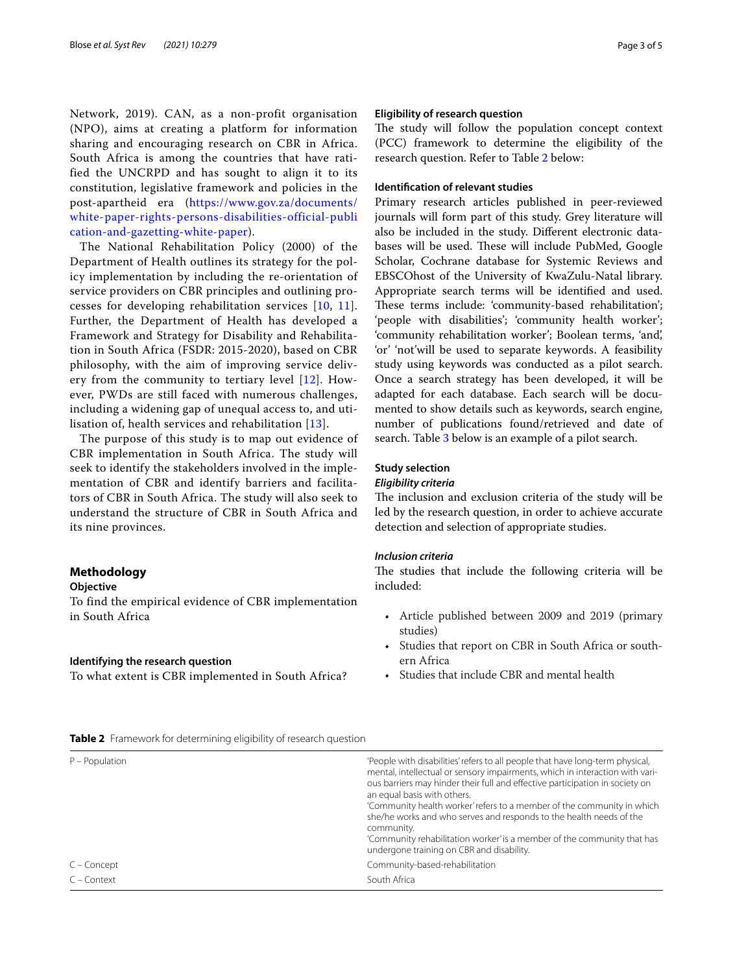Network, 2019). CAN, as a non-profit organisation (NPO), aims at creating a platform for information sharing and encouraging research on CBR in Africa. South Africa is among the countries that have ratified the UNCRPD and has sought to align it to its constitution, legislative framework and policies in the post-apartheid era ([https://www.gov.za/documents/](https://www.gov.za/documents/white-paper-rights-persons-disabilities-official-publication-and-gazetting-white-paper) [white-paper-rights-persons-disabilities-official-publi](https://www.gov.za/documents/white-paper-rights-persons-disabilities-official-publication-and-gazetting-white-paper) [cation-and-gazetting-white-paper](https://www.gov.za/documents/white-paper-rights-persons-disabilities-official-publication-and-gazetting-white-paper)).

The National Rehabilitation Policy (2000) of the Department of Health outlines its strategy for the policy implementation by including the re-orientation of service providers on CBR principles and outlining processes for developing rehabilitation services [[10](#page-4-9), [11\]](#page-4-10). Further, the Department of Health has developed a Framework and Strategy for Disability and Rehabilitation in South Africa (FSDR: 2015-2020), based on CBR philosophy, with the aim of improving service delivery from the community to tertiary level [\[12\]](#page-4-11). However, PWDs are still faced with numerous challenges, including a widening gap of unequal access to, and utilisation of, health services and rehabilitation [[13\]](#page-4-12).

The purpose of this study is to map out evidence of CBR implementation in South Africa. The study will seek to identify the stakeholders involved in the implementation of CBR and identify barriers and facilitators of CBR in South Africa. The study will also seek to understand the structure of CBR in South Africa and its nine provinces.

# **Methodology**

# **Objective**

To find the empirical evidence of CBR implementation in South Africa

## **Identifying the research question**

To what extent is CBR implemented in South Africa?

## **Eligibility of research question**

The study will follow the population concept context (PCC) framework to determine the eligibility of the research question. Refer to Table [2](#page-2-0) below:

# **Identifcation of relevant studies**

Primary research articles published in peer-reviewed journals will form part of this study. Grey literature will also be included in the study. Diferent electronic databases will be used. These will include PubMed, Google Scholar, Cochrane database for Systemic Reviews and EBSCOhost of the University of KwaZulu-Natal library. Appropriate search terms will be identifed and used. These terms include: 'community-based rehabilitation'; 'people with disabilities'; 'community health worker'; 'community rehabilitation worker'; Boolean terms, 'and', 'or' 'not'will be used to separate keywords. A feasibility study using keywords was conducted as a pilot search. Once a search strategy has been developed, it will be adapted for each database. Each search will be documented to show details such as keywords, search engine, number of publications found/retrieved and date of search. Table [3](#page-3-0) below is an example of a pilot search.

# **Study selection**

# *Eligibility criteria*

The inclusion and exclusion criteria of the study will be led by the research question, in order to achieve accurate detection and selection of appropriate studies.

# *Inclusion criteria*

The studies that include the following criteria will be included:

- Article published between 2009 and 2019 (primary studies)
- Studies that report on CBR in South Africa or southern Africa
- Studies that include CBR and mental health

## <span id="page-2-0"></span>**Table 2** Framework for determining eligibility of research question

| $P - Population$ | 'People with disabilities' refers to all people that have long-term physical,<br>mental, intellectual or sensory impairments, which in interaction with vari-<br>ous barriers may hinder their full and effective participation in society on<br>an equal basis with others.<br>'Community health worker' refers to a member of the community in which<br>she/he works and who serves and responds to the health needs of the<br>community.<br>'Community rehabilitation worker' is a member of the community that has<br>undergone training on CBR and disability. |
|------------------|---------------------------------------------------------------------------------------------------------------------------------------------------------------------------------------------------------------------------------------------------------------------------------------------------------------------------------------------------------------------------------------------------------------------------------------------------------------------------------------------------------------------------------------------------------------------|
| C – Concept      | Community-based-rehabilitation                                                                                                                                                                                                                                                                                                                                                                                                                                                                                                                                      |
| $C$ – Context    | South Africa                                                                                                                                                                                                                                                                                                                                                                                                                                                                                                                                                        |
|                  |                                                                                                                                                                                                                                                                                                                                                                                                                                                                                                                                                                     |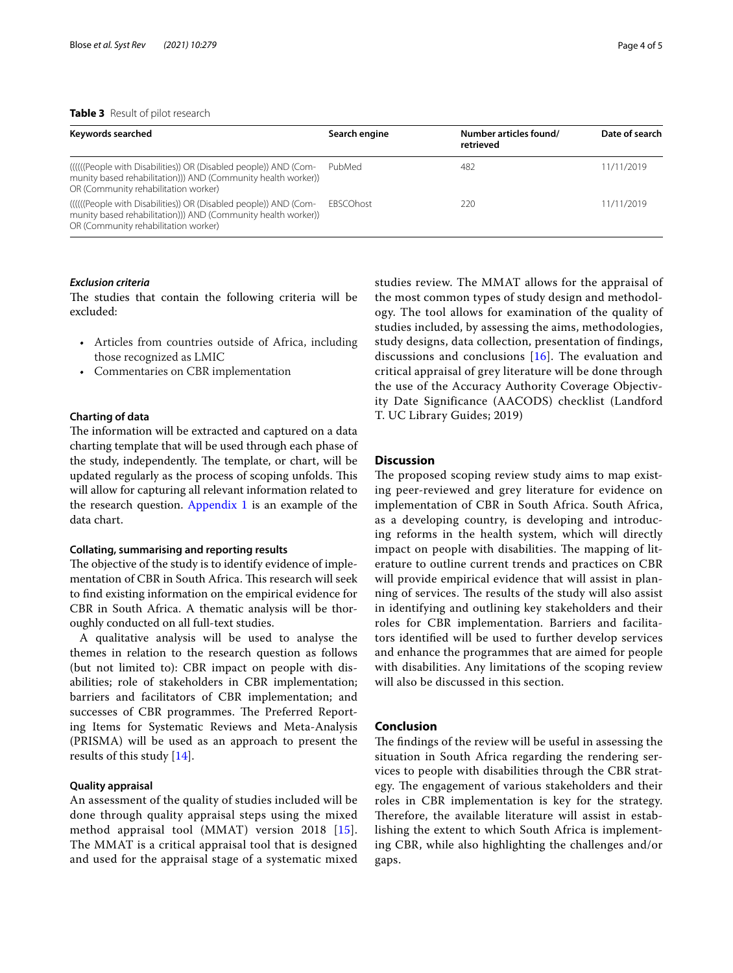# <span id="page-3-0"></span>**Table 3** Result of pilot research

| Keywords searched                                                                                                                                                         | Search engine    | Number articles found/<br>retrieved | Date of search |
|---------------------------------------------------------------------------------------------------------------------------------------------------------------------------|------------------|-------------------------------------|----------------|
| ((((((People with Disabilities)) OR (Disabled people)) AND (Com-<br>munity based rehabilitation))) AND (Community health worker))<br>OR (Community rehabilitation worker) | PubMed           | 482                                 | 11/11/2019     |
| ((((((People with Disabilities)) OR (Disabled people)) AND (Com-<br>munity based rehabilitation))) AND (Community health worker))<br>OR (Community rehabilitation worker) | <b>FBSCOhost</b> | 220                                 | 11/11/2019     |

# *Exclusion criteria*

The studies that contain the following criteria will be excluded:

- Articles from countries outside of Africa, including those recognized as LMIC
- Commentaries on CBR implementation

# **Charting of data**

The information will be extracted and captured on a data charting template that will be used through each phase of the study, independently. The template, or chart, will be updated regularly as the process of scoping unfolds. This will allow for capturing all relevant information related to the research question. [Appendix 1](#page-4-13) is an example of the data chart.

## **Collating, summarising and reporting results**

The objective of the study is to identify evidence of implementation of CBR in South Africa. This research will seek to fnd existing information on the empirical evidence for CBR in South Africa. A thematic analysis will be thoroughly conducted on all full-text studies.

A qualitative analysis will be used to analyse the themes in relation to the research question as follows (but not limited to): CBR impact on people with disabilities; role of stakeholders in CBR implementation; barriers and facilitators of CBR implementation; and successes of CBR programmes. The Preferred Reporting Items for Systematic Reviews and Meta-Analysis (PRISMA) will be used as an approach to present the results of this study [[14](#page-4-14)].

# **Quality appraisal**

An assessment of the quality of studies included will be done through quality appraisal steps using the mixed method appraisal tool (MMAT) version 2018 [[15\]](#page-4-15). The MMAT is a critical appraisal tool that is designed and used for the appraisal stage of a systematic mixed studies review. The MMAT allows for the appraisal of the most common types of study design and methodology. The tool allows for examination of the quality of studies included, by assessing the aims, methodologies, study designs, data collection, presentation of findings, discussions and conclusions [[16](#page-4-16)]. The evaluation and critical appraisal of grey literature will be done through the use of the Accuracy Authority Coverage Objectivity Date Significance (AACODS) checklist (Landford T. UC Library Guides; 2019)

# **Discussion**

The proposed scoping review study aims to map existing peer-reviewed and grey literature for evidence on implementation of CBR in South Africa. South Africa, as a developing country, is developing and introducing reforms in the health system, which will directly impact on people with disabilities. The mapping of literature to outline current trends and practices on CBR will provide empirical evidence that will assist in planning of services. The results of the study will also assist in identifying and outlining key stakeholders and their roles for CBR implementation. Barriers and facilitators identifed will be used to further develop services and enhance the programmes that are aimed for people with disabilities. Any limitations of the scoping review will also be discussed in this section.

# **Conclusion**

The findings of the review will be useful in assessing the situation in South Africa regarding the rendering services to people with disabilities through the CBR strategy. The engagement of various stakeholders and their roles in CBR implementation is key for the strategy. Therefore, the available literature will assist in establishing the extent to which South Africa is implementing CBR, while also highlighting the challenges and/or gaps.